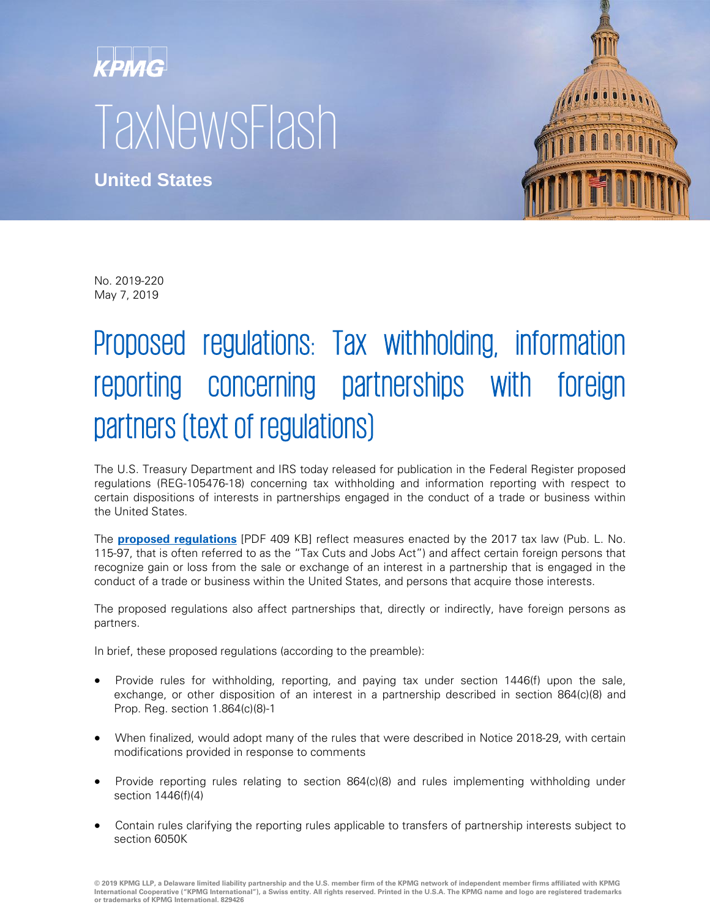## KPMG **TaxNewsFlash**

**United States**



No. 2019-220 May 7, 2019

## Proposed regulations: Tax withholding, information reporting concerning partnerships with foreign partners (text of regulations)

The U.S. Treasury Department and IRS today released for publication in the Federal Register proposed regulations (REG-105476-18) concerning tax withholding and information reporting with respect to certain dispositions of interests in partnerships engaged in the conduct of a trade or business within the United States.

The **[proposed regulations](https://www.govinfo.gov/content/pkg/FR-2019-05-13/pdf/2019-09515.pdf)** [PDF 409 KB] reflect measures enacted by the 2017 tax law (Pub. L. No. 115-97, that is often referred to as the "Tax Cuts and Jobs Act") and affect certain foreign persons that recognize gain or loss from the sale or exchange of an interest in a partnership that is engaged in the conduct of a trade or business within the United States, and persons that acquire those interests.

The proposed regulations also affect partnerships that, directly or indirectly, have foreign persons as partners.

In brief, these proposed regulations (according to the preamble):

- Provide rules for withholding, reporting, and paying tax under section 1446(f) upon the sale, exchange, or other disposition of an interest in a partnership described in section 864(c)(8) and Prop. Reg. section 1.864(c)(8)-1
- When finalized, would adopt many of the rules that were described in Notice 2018-29, with certain modifications provided in response to comments
- Provide reporting rules relating to section 864(c)(8) and rules implementing withholding under section 1446(f)(4)
- Contain rules clarifying the reporting rules applicable to transfers of partnership interests subject to section 6050K

**© 2019 KPMG LLP, a Delaware limited liability partnership and the U.S. member firm of the KPMG network of independent member firms affiliated with KPMG International Cooperative ("KPMG International"), a Swiss entity. All rights reserved. Printed in the U.S.A. The KPMG name and logo are registered trademarks or trademarks of KPMG International. 829426**